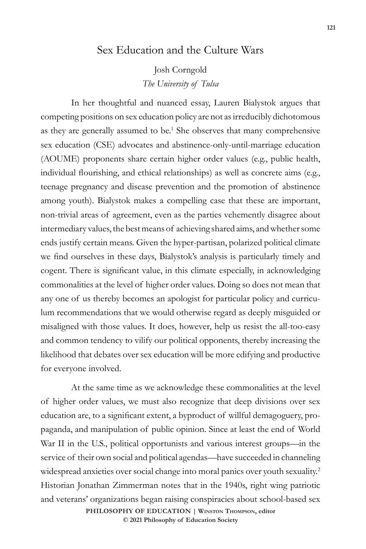## Sex Education and the Culture Wars

Josh Corngold *The University of Tulsa*

In her thoughtful and nuanced essay, Lauren Bialystok argues that competing positions on sex education policy are not as irreducibly dichotomous as they are generally assumed to be.<sup>1</sup> She observes that many comprehensive sex education (CSE) advocates and abstinence-only-until-marriage education (AOUME) proponents share certain higher order values (e.g., public health, individual flourishing, and ethical relationships) as well as concrete aims (e.g., teenage pregnancy and disease prevention and the promotion of abstinence among youth). Bialystok makes a compelling case that these are important, non-trivial areas of agreement, even as the parties vehemently disagree about intermediary values, the best means of achieving shared aims, and whether some ends justify certain means. Given the hyper-partisan, polarized political climate we find ourselves in these days, Bialystok's analysis is particularly timely and cogent. There is significant value, in this climate especially, in acknowledging commonalities at the level of higher order values. Doing so does not mean that any one of us thereby becomes an apologist for particular policy and curriculum recommendations that we would otherwise regard as deeply misguided or misaligned with those values. It does, however, help us resist the all-too-easy and common tendency to vilify our political opponents, thereby increasing the likelihood that debates over sex education will be more edifying and productive for everyone involved.

At the same time as we acknowledge these commonalities at the level of higher order values, we must also recognize that deep divisions over sex education are, to a significant extent, a byproduct of willful demagoguery, propaganda, and manipulation of public opinion. Since at least the end of World War II in the U.S., political opportunists and various interest groups—in the service of their own social and political agendas—have succeeded in channeling widespread anxieties over social change into moral panics over youth sexuality.<sup>2</sup> Historian Jonathan Zimmerman notes that in the 1940s, right wing patriotic and veterans' organizations began raising conspiracies about school-based sex **PHILOSOPHY OF EDUCATION | Winston Thompson, editor** 

**© 2021 Philosophy of Education Society**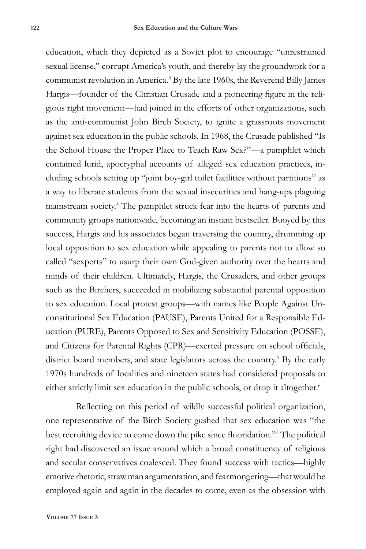education, which they depicted as a Soviet plot to encourage "unrestrained sexual license," corrupt America's youth, and thereby lay the groundwork for a communist revolution in America.3 By the late 1960s, the Reverend Billy James Hargis—founder of the Christian Crusade and a pioneering figure in the religious right movement—had joined in the efforts of other organizations, such as the anti-communist John Birch Society, to ignite a grassroots movement against sex education in the public schools. In 1968, the Crusade published "Is the School House the Proper Place to Teach Raw Sex?"—a pamphlet which contained lurid, apocryphal accounts of alleged sex education practices, including schools setting up "joint boy-girl toilet facilities without partitions" as a way to liberate students from the sexual insecurities and hang-ups plaguing mainstream society.4 The pamphlet struck fear into the hearts of parents and community groups nationwide, becoming an instant bestseller. Buoyed by this success, Hargis and his associates began traversing the country, drumming up local opposition to sex education while appealing to parents not to allow so called "sexperts" to usurp their own God-given authority over the hearts and minds of their children. Ultimately, Hargis, the Crusaders, and other groups such as the Birchers, succeeded in mobilizing substantial parental opposition to sex education. Local protest groups—with names like People Against Unconstitutional Sex Education (PAUSE), Parents United for a Responsible Education (PURE), Parents Opposed to Sex and Sensitivity Education (POSSE), and Citizens for Parental Rights (CPR)—exerted pressure on school officials, district board members, and state legislators across the country.<sup>5</sup> By the early 1970s hundreds of localities and nineteen states had considered proposals to either strictly limit sex education in the public schools, or drop it altogether.<sup>6</sup>

Reflecting on this period of wildly successful political organization, one representative of the Birch Society gushed that sex education was "the best recruiting device to come down the pike since fluoridation."<sup>7</sup> The political right had discovered an issue around which a broad constituency of religious and secular conservatives coalesced. They found success with tactics—highly emotive rhetoric, straw man argumentation, and fearmongering—that would be employed again and again in the decades to come, even as the obsession with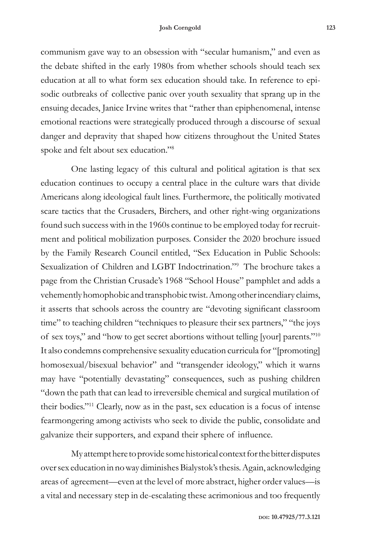communism gave way to an obsession with "secular humanism," and even as the debate shifted in the early 1980s from whether schools should teach sex education at all to what form sex education should take. In reference to episodic outbreaks of collective panic over youth sexuality that sprang up in the ensuing decades, Janice Irvine writes that "rather than epiphenomenal, intense emotional reactions were strategically produced through a discourse of sexual danger and depravity that shaped how citizens throughout the United States spoke and felt about sex education."8

One lasting legacy of this cultural and political agitation is that sex education continues to occupy a central place in the culture wars that divide Americans along ideological fault lines. Furthermore, the politically motivated scare tactics that the Crusaders, Birchers, and other right-wing organizations found such success with in the 1960s continue to be employed today for recruitment and political mobilization purposes. Consider the 2020 brochure issued by the Family Research Council entitled, "Sex Education in Public Schools: Sexualization of Children and LGBT Indoctrination."9 The brochure takes a page from the Christian Crusade's 1968 "School House" pamphlet and adds a vehemently homophobic and transphobic twist. Among other incendiary claims, it asserts that schools across the country are "devoting significant classroom time" to teaching children "techniques to pleasure their sex partners," "the joys of sex toys," and "how to get secret abortions without telling [your] parents."<sup>10</sup> It also condemns comprehensive sexuality education curricula for "[promoting] homosexual/bisexual behavior" and "transgender ideology," which it warns may have "potentially devastating" consequences, such as pushing children "down the path that can lead to irreversible chemical and surgical mutilation of their bodies."11 Clearly, now as in the past, sex education is a focus of intense fearmongering among activists who seek to divide the public, consolidate and galvanize their supporters, and expand their sphere of influence.

My attempt here to provide some historical context for the bitter disputes over sex education in no way diminishes Bialystok's thesis. Again, acknowledging areas of agreement—even at the level of more abstract, higher order values—is a vital and necessary step in de-escalating these acrimonious and too frequently